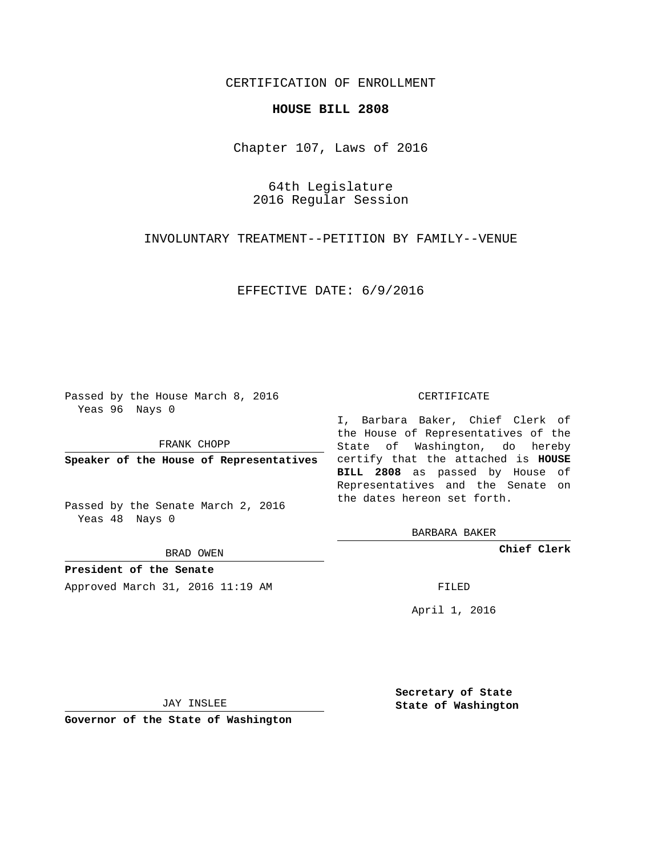## CERTIFICATION OF ENROLLMENT

## **HOUSE BILL 2808**

Chapter 107, Laws of 2016

64th Legislature 2016 Regular Session

INVOLUNTARY TREATMENT--PETITION BY FAMILY--VENUE

EFFECTIVE DATE: 6/9/2016

Passed by the House March 8, 2016 Yeas 96 Nays 0

FRANK CHOPP

Passed by the Senate March 2, 2016 Yeas 48 Nays 0

BRAD OWEN

**President of the Senate**

Approved March 31, 2016 11:19 AM FILED

#### CERTIFICATE

**Speaker of the House of Representatives** certify that the attached is **HOUSE** I, Barbara Baker, Chief Clerk of the House of Representatives of the State of Washington, do hereby **BILL 2808** as passed by House of Representatives and the Senate on the dates hereon set forth.

BARBARA BAKER

**Chief Clerk**

April 1, 2016

JAY INSLEE

**Governor of the State of Washington**

**Secretary of State State of Washington**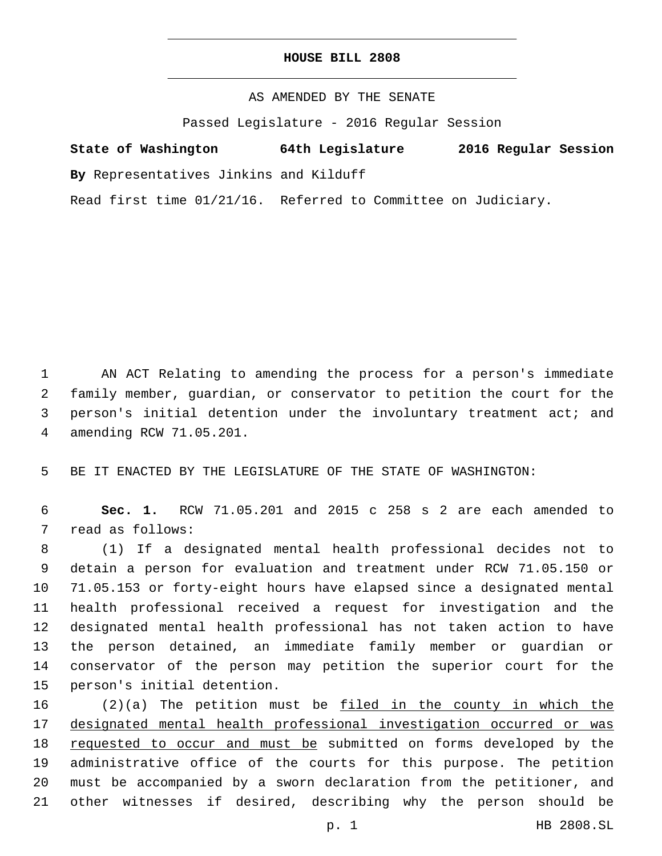## **HOUSE BILL 2808**

AS AMENDED BY THE SENATE

Passed Legislature - 2016 Regular Session

# **State of Washington 64th Legislature 2016 Regular Session**

**By** Representatives Jinkins and Kilduff

Read first time 01/21/16. Referred to Committee on Judiciary.

 AN ACT Relating to amending the process for a person's immediate family member, guardian, or conservator to petition the court for the person's initial detention under the involuntary treatment act; and amending RCW 71.05.201.4

BE IT ENACTED BY THE LEGISLATURE OF THE STATE OF WASHINGTON:

 **Sec. 1.** RCW 71.05.201 and 2015 c 258 s 2 are each amended to 7 read as follows:

 (1) If a designated mental health professional decides not to detain a person for evaluation and treatment under RCW 71.05.150 or 71.05.153 or forty-eight hours have elapsed since a designated mental health professional received a request for investigation and the designated mental health professional has not taken action to have the person detained, an immediate family member or guardian or conservator of the person may petition the superior court for the 15 person's initial detention.

 (2)(a) The petition must be filed in the county in which the designated mental health professional investigation occurred or was requested to occur and must be submitted on forms developed by the administrative office of the courts for this purpose. The petition must be accompanied by a sworn declaration from the petitioner, and other witnesses if desired, describing why the person should be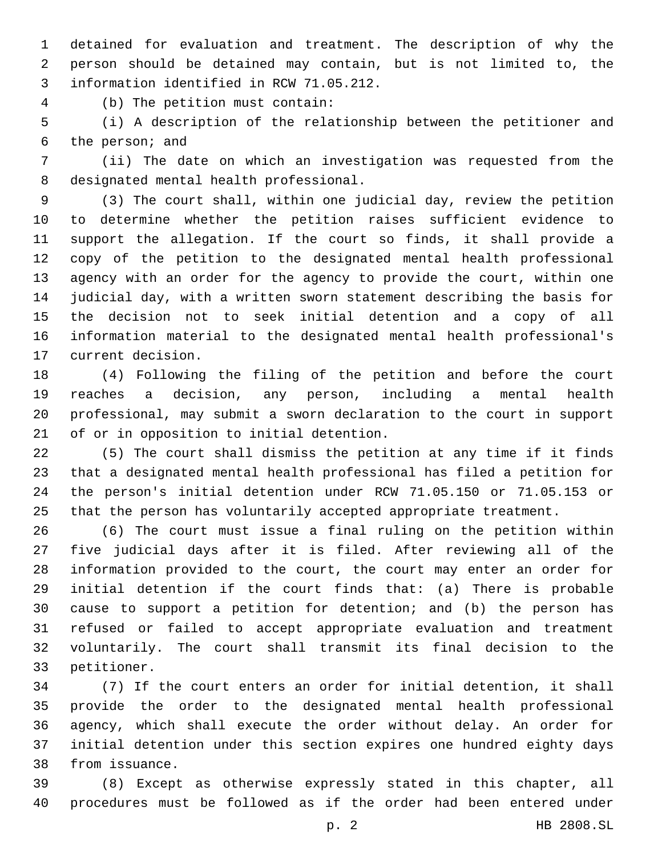detained for evaluation and treatment. The description of why the person should be detained may contain, but is not limited to, the 3 information identified in RCW 71.05.212.

(b) The petition must contain:4

 (i) A description of the relationship between the petitioner and 6 the person; and

 (ii) The date on which an investigation was requested from the 8 designated mental health professional.

 (3) The court shall, within one judicial day, review the petition to determine whether the petition raises sufficient evidence to support the allegation. If the court so finds, it shall provide a copy of the petition to the designated mental health professional agency with an order for the agency to provide the court, within one judicial day, with a written sworn statement describing the basis for the decision not to seek initial detention and a copy of all information material to the designated mental health professional's 17 current decision.

 (4) Following the filing of the petition and before the court reaches a decision, any person, including a mental health professional, may submit a sworn declaration to the court in support 21 of or in opposition to initial detention.

 (5) The court shall dismiss the petition at any time if it finds that a designated mental health professional has filed a petition for the person's initial detention under RCW 71.05.150 or 71.05.153 or that the person has voluntarily accepted appropriate treatment.

 (6) The court must issue a final ruling on the petition within five judicial days after it is filed. After reviewing all of the information provided to the court, the court may enter an order for initial detention if the court finds that: (a) There is probable cause to support a petition for detention; and (b) the person has refused or failed to accept appropriate evaluation and treatment voluntarily. The court shall transmit its final decision to the 33 petitioner.

 (7) If the court enters an order for initial detention, it shall provide the order to the designated mental health professional agency, which shall execute the order without delay. An order for initial detention under this section expires one hundred eighty days 38 from issuance.

 (8) Except as otherwise expressly stated in this chapter, all procedures must be followed as if the order had been entered under